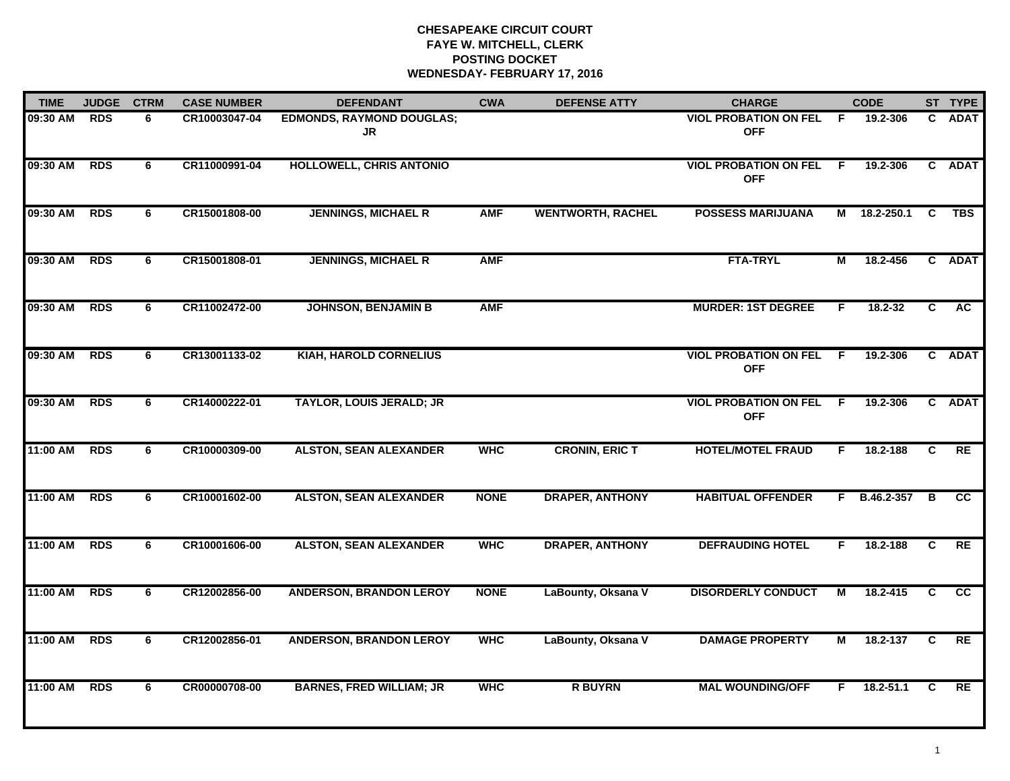# **CHESAPEAKE CIRCUIT COURT FAYE W. MITCHELL, CLERK POSTING DOCKET WEDNESDAY- FEBRUARY 17, 2016**

| <b>TIME</b> | <b>JUDGE</b> | <b>CTRM</b> | <b>CASE NUMBER</b> | <b>DEFENDANT</b>                       | <b>CWA</b>  | <b>DEFENSE ATTY</b>      | <b>CHARGE</b>                              |                | <b>CODE</b>  |    | ST TYPE     |
|-------------|--------------|-------------|--------------------|----------------------------------------|-------------|--------------------------|--------------------------------------------|----------------|--------------|----|-------------|
| 09:30 AM    | <b>RDS</b>   | 6           | CR10003047-04      | <b>EDMONDS, RAYMOND DOUGLAS;</b><br>JR |             |                          | <b>VIOL PROBATION ON FEL</b><br><b>OFF</b> | F.             | 19.2-306     | C. | <b>ADAT</b> |
| 09:30 AM    | <b>RDS</b>   | 6           | CR11000991-04      | HOLLOWELL, CHRIS ANTONIO               |             |                          | <b>VIOL PROBATION ON FEL</b><br><b>OFF</b> | $\overline{F}$ | 19.2-306     |    | C ADAT      |
| 09:30 AM    | <b>RDS</b>   | 6           | CR15001808-00      | <b>JENNINGS, MICHAEL R</b>             | <b>AMF</b>  | <b>WENTWORTH, RACHEL</b> | <b>POSSESS MARIJUANA</b>                   |                | M 18.2-250.1 | C  | <b>TBS</b>  |
| 09:30 AM    | <b>RDS</b>   | 6           | CR15001808-01      | <b>JENNINGS, MICHAEL R</b>             | <b>AMF</b>  |                          | <b>FTA-TRYL</b>                            | М              | 18.2-456     |    | C ADAT      |
| 09:30 AM    | <b>RDS</b>   | 6           | CR11002472-00      | <b>JOHNSON, BENJAMIN B</b>             | <b>AMF</b>  |                          | <b>MURDER: 1ST DEGREE</b>                  | F.             | 18.2-32      | C  | AC.         |
| 09:30 AM    | <b>RDS</b>   | 6           | CR13001133-02      | <b>KIAH, HAROLD CORNELIUS</b>          |             |                          | <b>VIOL PROBATION ON FEL</b><br><b>OFF</b> | - F            | 19.2-306     |    | C ADAT      |
| 09:30 AM    | <b>RDS</b>   | 6           | CR14000222-01      | <b>TAYLOR, LOUIS JERALD; JR</b>        |             |                          | <b>VIOL PROBATION ON FEL</b><br><b>OFF</b> | -F.            | 19.2-306     |    | C ADAT      |
| 11:00 AM    | <b>RDS</b>   | 6           | CR10000309-00      | <b>ALSTON, SEAN ALEXANDER</b>          | <b>WHC</b>  | <b>CRONIN, ERIC T</b>    | <b>HOTEL/MOTEL FRAUD</b>                   | F              | 18.2-188     | C  | RE          |
| 11:00 AM    | <b>RDS</b>   | 6           | CR10001602-00      | <b>ALSTON, SEAN ALEXANDER</b>          | <b>NONE</b> | <b>DRAPER, ANTHONY</b>   | <b>HABITUAL OFFENDER</b>                   | F              | B.46.2-357   | B  | <b>CC</b>   |
| 11:00 AM    | <b>RDS</b>   | 6           | CR10001606-00      | <b>ALSTON, SEAN ALEXANDER</b>          | <b>WHC</b>  | <b>DRAPER, ANTHONY</b>   | <b>DEFRAUDING HOTEL</b>                    | F.             | 18.2-188     | C  | RE          |
| 11:00 AM    | <b>RDS</b>   | 6           | CR12002856-00      | <b>ANDERSON, BRANDON LEROY</b>         | <b>NONE</b> | LaBounty, Oksana V       | <b>DISORDERLY CONDUCT</b>                  | М              | 18.2-415     | C  | cc          |
| 11:00 AM    | <b>RDS</b>   | 6           | CR12002856-01      | <b>ANDERSON, BRANDON LEROY</b>         | <b>WHC</b>  | LaBounty, Oksana V       | <b>DAMAGE PROPERTY</b>                     | М              | 18.2-137     | C  | RE          |
| 11:00 AM    | <b>RDS</b>   | 6           | CR00000708-00      | <b>BARNES, FRED WILLIAM; JR</b>        | <b>WHC</b>  | <b>R BUYRN</b>           | <b>MAL WOUNDING/OFF</b>                    | F              | 18.2-51.1    | C  | RE          |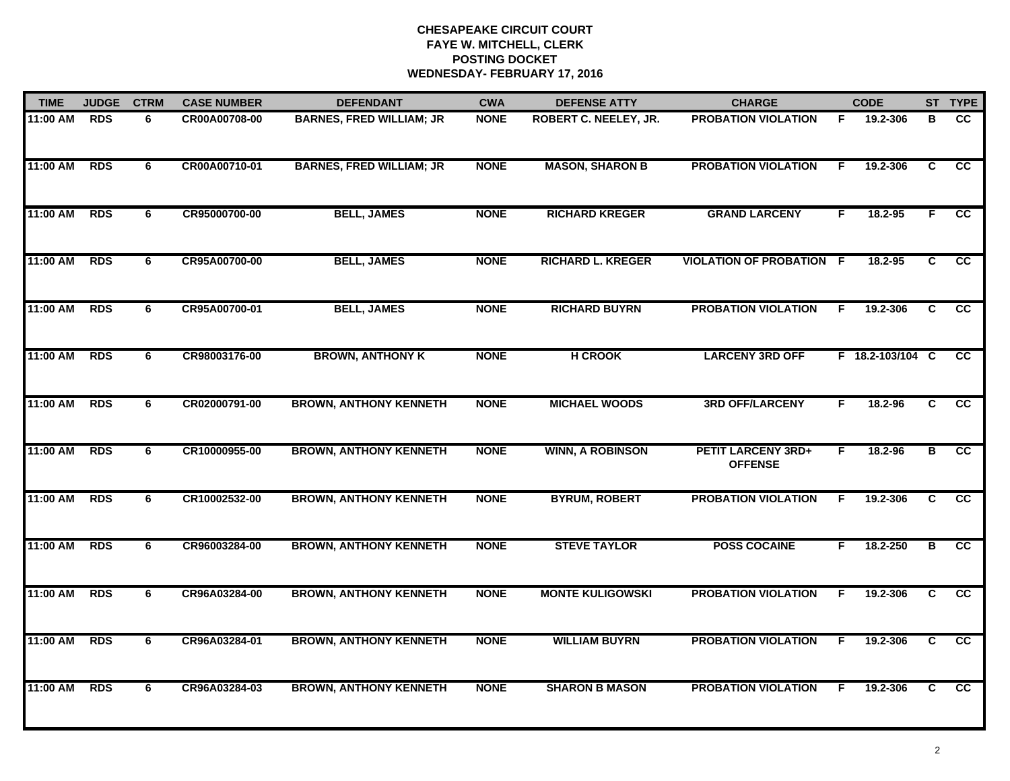# **CHESAPEAKE CIRCUIT COURT FAYE W. MITCHELL, CLERK POSTING DOCKETWEDNESDAY- FEBRUARY 17, 2016**

| <b>TIME</b> | <b>JUDGE</b> | <b>CTRM</b> | <b>CASE NUMBER</b> | <b>DEFENDANT</b>                | <b>CWA</b>  | <b>DEFENSE ATTY</b>      | <b>CHARGE</b>                               |    | <b>CODE</b>      |                | ST TYPE         |
|-------------|--------------|-------------|--------------------|---------------------------------|-------------|--------------------------|---------------------------------------------|----|------------------|----------------|-----------------|
| 11:00 AM    | <b>RDS</b>   | 6           | CR00A00708-00      | <b>BARNES, FRED WILLIAM; JR</b> | <b>NONE</b> | ROBERT C. NEELEY, JR.    | <b>PROBATION VIOLATION</b>                  | F. | 19.2-306         | в              | CC.             |
| 11:00 AM    | <b>RDS</b>   | 6           | CR00A00710-01      | <b>BARNES, FRED WILLIAM; JR</b> | <b>NONE</b> | <b>MASON, SHARON B</b>   | <b>PROBATION VIOLATION</b>                  | E  | 19.2-306         | C              | $\overline{cc}$ |
| 11:00 AM    | <b>RDS</b>   | 6           | CR95000700-00      | <b>BELL, JAMES</b>              | <b>NONE</b> | <b>RICHARD KREGER</b>    | <b>GRAND LARCENY</b>                        | F  | 18.2-95          | F.             | $\overline{cc}$ |
| 11:00 AM    | <b>RDS</b>   | 6           | CR95A00700-00      | <b>BELL, JAMES</b>              | <b>NONE</b> | <b>RICHARD L. KREGER</b> | <b>VIOLATION OF PROBATION F</b>             |    | 18.2-95          | C              | <b>CC</b>       |
| 11:00 AM    | <b>RDS</b>   | 6           | CR95A00700-01      | <b>BELL, JAMES</b>              | <b>NONE</b> | <b>RICHARD BUYRN</b>     | <b>PROBATION VIOLATION</b>                  | F. | 19.2-306         | C              | <b>CC</b>       |
| 11:00 AM    | <b>RDS</b>   | 6           | CR98003176-00      | <b>BROWN, ANTHONY K</b>         | <b>NONE</b> | <b>H CROOK</b>           | <b>LARCENY 3RD OFF</b>                      |    | F 18.2-103/104 C |                | <b>CC</b>       |
| 11:00 AM    | <b>RDS</b>   | 6           | CR02000791-00      | <b>BROWN, ANTHONY KENNETH</b>   | <b>NONE</b> | <b>MICHAEL WOODS</b>     | <b>3RD OFF/LARCENY</b>                      | F. | 18.2-96          | $\overline{c}$ | cc              |
| 11:00 AM    | <b>RDS</b>   | 6           | CR10000955-00      | <b>BROWN, ANTHONY KENNETH</b>   | <b>NONE</b> | <b>WINN, A ROBINSON</b>  | <b>PETIT LARCENY 3RD+</b><br><b>OFFENSE</b> | F  | 18.2-96          | в              | cc              |
| 11:00 AM    | <b>RDS</b>   | 6           | CR10002532-00      | <b>BROWN, ANTHONY KENNETH</b>   | <b>NONE</b> | <b>BYRUM, ROBERT</b>     | <b>PROBATION VIOLATION</b>                  | F  | 19.2-306         | C              | cc              |
| 11:00 AM    | <b>RDS</b>   | 6           | CR96003284-00      | <b>BROWN, ANTHONY KENNETH</b>   | <b>NONE</b> | <b>STEVE TAYLOR</b>      | <b>POSS COCAINE</b>                         | F  | 18.2-250         | В              | cc              |
| 11:00 AM    | <b>RDS</b>   | 6           | CR96A03284-00      | <b>BROWN, ANTHONY KENNETH</b>   | <b>NONE</b> | <b>MONTE KULIGOWSKI</b>  | <b>PROBATION VIOLATION</b>                  | F. | 19.2-306         | C.             | $\overline{cc}$ |
| 11:00 AM    | <b>RDS</b>   | 6           | CR96A03284-01      | <b>BROWN, ANTHONY KENNETH</b>   | <b>NONE</b> | <b>WILLIAM BUYRN</b>     | <b>PROBATION VIOLATION</b>                  | F  | 19.2-306         | $\overline{c}$ | $\overline{cc}$ |
| 11:00 AM    | <b>RDS</b>   | 6           | CR96A03284-03      | <b>BROWN, ANTHONY KENNETH</b>   | <b>NONE</b> | <b>SHARON B MASON</b>    | <b>PROBATION VIOLATION</b>                  | F  | 19.2-306         | C.             | $\overline{cc}$ |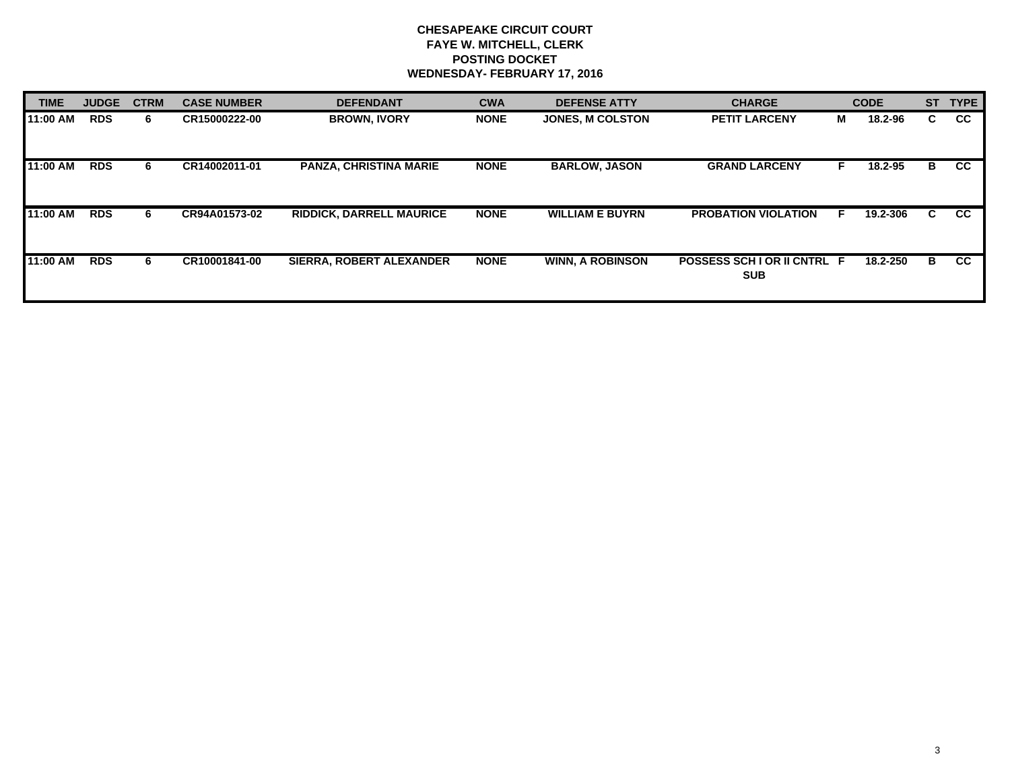# **CHESAPEAKE CIRCUIT COURT FAYE W. MITCHELL, CLERK POSTING DOCKET WEDNESDAY- FEBRUARY 17, 2016**

| <b>TIME</b> | <b>JUDGE</b> | <b>CTRM</b> | <b>CASE NUMBER</b> | <b>DEFENDANT</b>                | <b>CWA</b>  | <b>DEFENSE ATTY</b>     | <b>CHARGE</b>                           |   | <b>CODE</b> | <b>ST</b> | <b>TYPE</b> |
|-------------|--------------|-------------|--------------------|---------------------------------|-------------|-------------------------|-----------------------------------------|---|-------------|-----------|-------------|
| 11:00 AM    | <b>RDS</b>   | 6.          | CR15000222-00      | <b>BROWN. IVORY</b>             | <b>NONE</b> | <b>JONES, M COLSTON</b> | <b>PETIT LARCENY</b>                    | М | 18.2-96     | C.        | <b>CC</b>   |
| 11:00 AM    | <b>RDS</b>   | 6           | CR14002011-01      | <b>PANZA, CHRISTINA MARIE</b>   | <b>NONE</b> | <b>BARLOW, JASON</b>    | <b>GRAND LARCENY</b>                    |   | 18.2-95     | B         | <b>CC</b>   |
| 11:00 AM    | <b>RDS</b>   | 6.          | CR94A01573-02      | <b>RIDDICK, DARRELL MAURICE</b> | <b>NONE</b> | <b>WILLIAM E BUYRN</b>  | <b>PROBATION VIOLATION</b>              |   | 19.2-306    | C         | <b>CC</b>   |
| 11:00 AM    | <b>RDS</b>   | 6           | CR10001841-00      | SIERRA, ROBERT ALEXANDER        | <b>NONE</b> | <b>WINN, A ROBINSON</b> | POSSESS SCHIOR II CNTRL F<br><b>SUB</b> |   | 18.2-250    | B         | CC.         |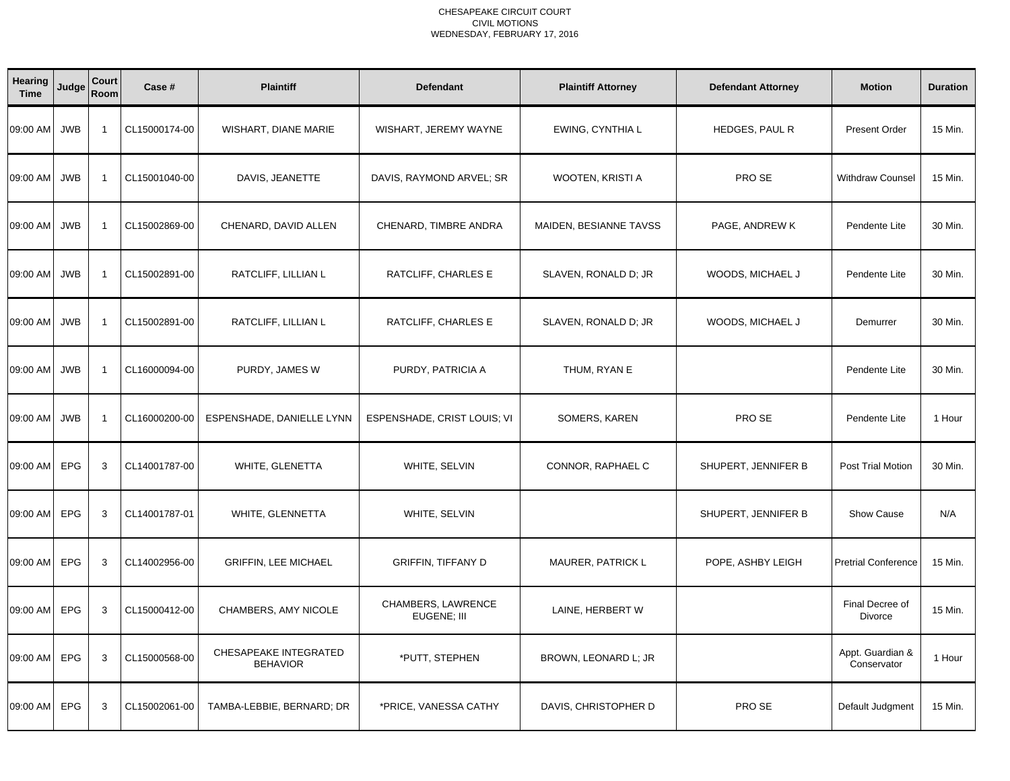| Hearing<br><b>Time</b> | Judge      | Court<br>Room  | Case #        | <b>Plaintiff</b>                         | <b>Defendant</b>                  | <b>Plaintiff Attorney</b> | <b>Defendant Attorney</b> | <b>Motion</b>                   | <b>Duration</b> |
|------------------------|------------|----------------|---------------|------------------------------------------|-----------------------------------|---------------------------|---------------------------|---------------------------------|-----------------|
| 09:00 AM               | <b>JWB</b> | $\overline{1}$ | CL15000174-00 | WISHART, DIANE MARIE                     | WISHART, JEREMY WAYNE             | EWING, CYNTHIA L          | HEDGES, PAUL R            | <b>Present Order</b>            | 15 Min.         |
| 09:00 AM               | <b>JWB</b> | $\overline{1}$ | CL15001040-00 | DAVIS, JEANETTE                          | DAVIS, RAYMOND ARVEL; SR          | WOOTEN, KRISTI A          | PRO SE                    | Withdraw Counsel                | 15 Min.         |
| 09:00 AM               | <b>JWB</b> | $\overline{1}$ | CL15002869-00 | CHENARD, DAVID ALLEN                     | CHENARD, TIMBRE ANDRA             | MAIDEN, BESIANNE TAVSS    | PAGE, ANDREW K            | Pendente Lite                   | 30 Min.         |
| 09:00 AM               | <b>JWB</b> | $\overline{1}$ | CL15002891-00 | RATCLIFF, LILLIAN L                      | RATCLIFF, CHARLES E               | SLAVEN, RONALD D; JR      | WOODS, MICHAEL J          | Pendente Lite                   | 30 Min.         |
| 09:00 AM               | <b>JWB</b> | $\overline{1}$ | CL15002891-00 | RATCLIFF, LILLIAN L                      | RATCLIFF, CHARLES E               | SLAVEN, RONALD D; JR      | WOODS, MICHAEL J          | Demurrer                        | 30 Min.         |
| 09:00 AM               | <b>JWB</b> | $\overline{1}$ | CL16000094-00 | PURDY, JAMES W                           | PURDY, PATRICIA A                 | THUM, RYAN E              |                           | Pendente Lite                   | 30 Min.         |
| 09:00 AM               | <b>JWB</b> | $\overline{1}$ | CL16000200-00 | ESPENSHADE, DANIELLE LYNN                | ESPENSHADE, CRIST LOUIS; VI       | SOMERS, KAREN             | PRO SE                    | Pendente Lite                   | 1 Hour          |
| 09:00 AM               | <b>EPG</b> | 3              | CL14001787-00 | WHITE, GLENETTA                          | WHITE, SELVIN                     | CONNOR, RAPHAEL C         | SHUPERT, JENNIFER B       | <b>Post Trial Motion</b>        | 30 Min.         |
| 09:00 AM               | EPG        | 3              | CL14001787-01 | WHITE, GLENNETTA                         | WHITE, SELVIN                     |                           | SHUPERT, JENNIFER B       | <b>Show Cause</b>               | N/A             |
| 09:00 AM               | EPG        | 3              | CL14002956-00 | <b>GRIFFIN, LEE MICHAEL</b>              | <b>GRIFFIN, TIFFANY D</b>         | MAURER, PATRICK L         | POPE, ASHBY LEIGH         | <b>Pretrial Conference</b>      | 15 Min.         |
| 09:00 AM               | <b>EPG</b> | 3              | CL15000412-00 | CHAMBERS, AMY NICOLE                     | CHAMBERS, LAWRENCE<br>EUGENE; III | LAINE, HERBERT W          |                           | Final Decree of<br>Divorce      | 15 Min.         |
| 09:00 AM               | EPG        | 3              | CL15000568-00 | CHESAPEAKE INTEGRATED<br><b>BEHAVIOR</b> | *PUTT, STEPHEN                    | BROWN, LEONARD L; JR      |                           | Appt. Guardian &<br>Conservator | 1 Hour          |
| 09:00 AM               | <b>EPG</b> | 3              | CL15002061-00 | TAMBA-LEBBIE, BERNARD; DR                | *PRICE, VANESSA CATHY             | DAVIS, CHRISTOPHER D      | PRO SE                    | Default Judgment                | 15 Min.         |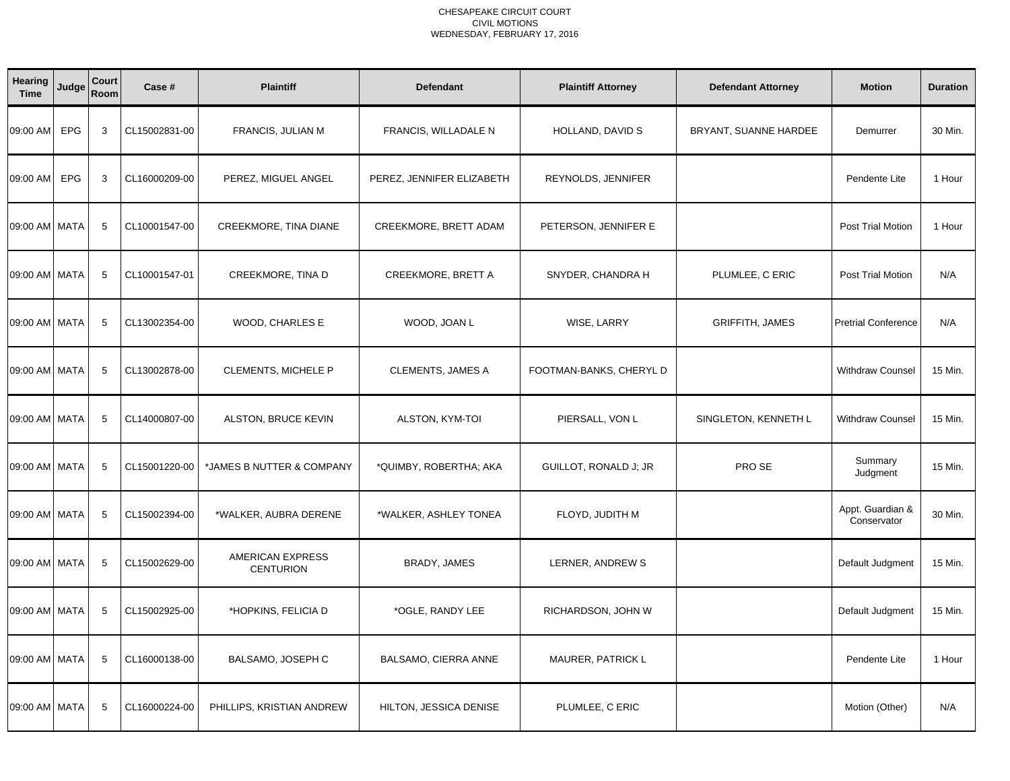| <b>Hearing</b><br><b>Time</b> | Judge      | Court<br>Room | Case #        | <b>Plaintiff</b>                     | <b>Defendant</b>          | <b>Plaintiff Attorney</b> | <b>Defendant Attorney</b> | <b>Motion</b>                   | <b>Duration</b> |
|-------------------------------|------------|---------------|---------------|--------------------------------------|---------------------------|---------------------------|---------------------------|---------------------------------|-----------------|
| 09:00 AM                      | EPG        | 3             | CL15002831-00 | FRANCIS, JULIAN M                    | FRANCIS, WILLADALE N      | HOLLAND, DAVID S          | BRYANT, SUANNE HARDEE     | Demurrer                        | 30 Min.         |
| 09:00 AM                      | <b>EPG</b> | 3             | CL16000209-00 | PEREZ, MIGUEL ANGEL                  | PEREZ, JENNIFER ELIZABETH | REYNOLDS, JENNIFER        |                           | Pendente Lite                   | 1 Hour          |
| 09:00 AM MATA                 |            | 5             | CL10001547-00 | CREEKMORE, TINA DIANE                | CREEKMORE, BRETT ADAM     | PETERSON, JENNIFER E      |                           | Post Trial Motion               | 1 Hour          |
| 09:00 AM MATA                 |            | 5             | CL10001547-01 | CREEKMORE, TINA D                    | <b>CREEKMORE, BRETT A</b> | SNYDER, CHANDRA H         | PLUMLEE, C ERIC           | Post Trial Motion               | N/A             |
| 09:00 AM MATA                 |            | 5             | CL13002354-00 | WOOD, CHARLES E                      | WOOD, JOAN L              | WISE, LARRY               | <b>GRIFFITH, JAMES</b>    | <b>Pretrial Conference</b>      | N/A             |
| 09:00 AM MATA                 |            | 5             | CL13002878-00 | CLEMENTS, MICHELE P                  | <b>CLEMENTS, JAMES A</b>  | FOOTMAN-BANKS, CHERYL D   |                           | <b>Withdraw Counsel</b>         | 15 Min.         |
| 09:00 AM MATA                 |            | 5             | CL14000807-00 | ALSTON, BRUCE KEVIN                  | ALSTON, KYM-TOI           | PIERSALL, VON L           | SINGLETON, KENNETH L      | <b>Withdraw Counsel</b>         | 15 Min.         |
| 09:00 AM MATA                 |            | 5             | CL15001220-00 | *JAMES B NUTTER & COMPANY            | *QUIMBY, ROBERTHA; AKA    | GUILLOT, RONALD J; JR     | PRO SE                    | Summary<br>Judgment             | 15 Min.         |
| 09:00 AM MATA                 |            | 5             | CL15002394-00 | *WALKER, AUBRA DERENE                | *WALKER, ASHLEY TONEA     | FLOYD, JUDITH M           |                           | Appt. Guardian &<br>Conservator | 30 Min.         |
| 09:00 AM MATA                 |            | 5             | CL15002629-00 | AMERICAN EXPRESS<br><b>CENTURION</b> | BRADY, JAMES              | LERNER, ANDREW S          |                           | Default Judgment                | 15 Min.         |
| 09:00 AM MATA                 |            | 5             | CL15002925-00 | *HOPKINS, FELICIA D                  | *OGLE, RANDY LEE          | RICHARDSON, JOHN W        |                           | Default Judgment                | 15 Min.         |
| 09:00 AM MATA                 |            | 5             | CL16000138-00 | BALSAMO, JOSEPH C                    | BALSAMO, CIERRA ANNE      | MAURER, PATRICK L         |                           | Pendente Lite                   | 1 Hour          |
| 09:00 AM MATA                 |            | 5             | CL16000224-00 | PHILLIPS, KRISTIAN ANDREW            | HILTON, JESSICA DENISE    | PLUMLEE, C ERIC           |                           | Motion (Other)                  | N/A             |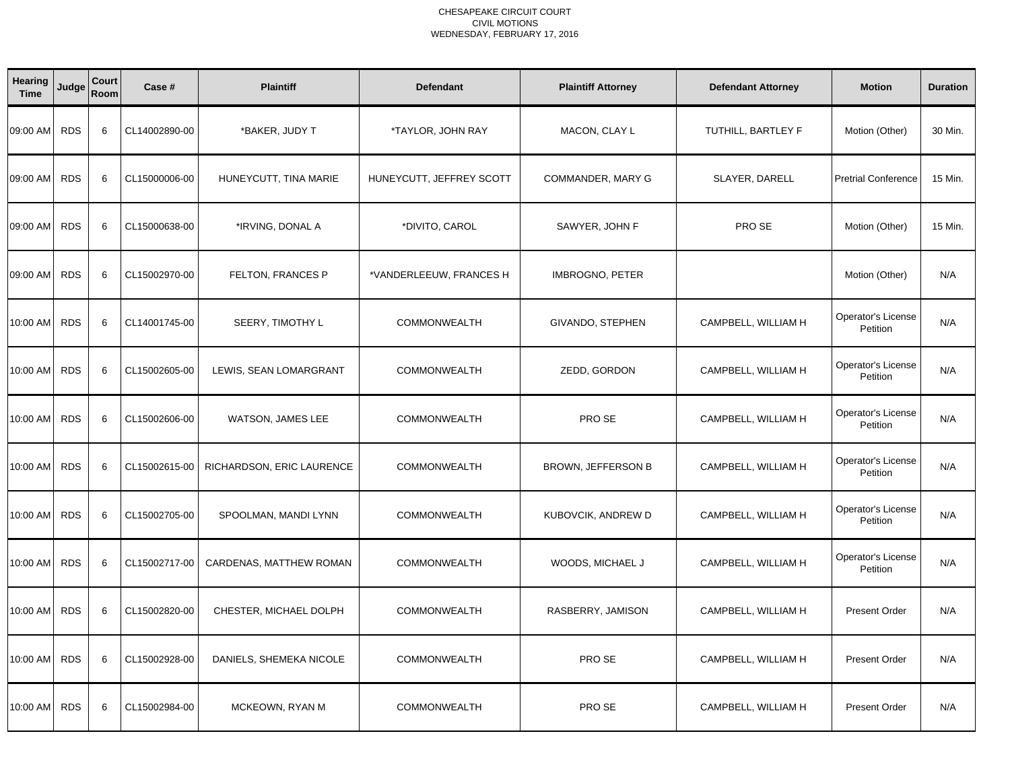| Hearing<br><b>Time</b> | Judge      | Court<br>Room | Case #        | <b>Plaintiff</b>          | <b>Defendant</b>         | <b>Plaintiff Attorney</b> | <b>Defendant Attorney</b> | <b>Motion</b>                         | <b>Duration</b> |
|------------------------|------------|---------------|---------------|---------------------------|--------------------------|---------------------------|---------------------------|---------------------------------------|-----------------|
| 09:00 AM               | <b>RDS</b> | 6             | CL14002890-00 | *BAKER, JUDY T            | *TAYLOR, JOHN RAY        | MACON, CLAY L             | TUTHILL, BARTLEY F        | Motion (Other)                        | 30 Min.         |
| 09:00 AM               | <b>RDS</b> | 6             | CL15000006-00 | HUNEYCUTT, TINA MARIE     | HUNEYCUTT, JEFFREY SCOTT | COMMANDER, MARY G         | SLAYER, DARELL            | <b>Pretrial Conference</b>            | 15 Min.         |
| 09:00 AM               | <b>RDS</b> | 6             | CL15000638-00 | *IRVING, DONAL A          | *DIVITO, CAROL           | SAWYER, JOHN F            | PRO SE                    | Motion (Other)                        | 15 Min.         |
| 09:00 AM               | <b>RDS</b> | 6             | CL15002970-00 | FELTON, FRANCES P         | *VANDERLEEUW, FRANCES H  | <b>IMBROGNO, PETER</b>    |                           | Motion (Other)                        | N/A             |
| 10:00 AM               | <b>RDS</b> | 6             | CL14001745-00 | SEERY, TIMOTHY L          | <b>COMMONWEALTH</b>      | GIVANDO, STEPHEN          | CAMPBELL, WILLIAM H       | Operator's License<br>Petition        | N/A             |
| 10:00 AM               | <b>RDS</b> | 6             | CL15002605-00 | LEWIS, SEAN LOMARGRANT    | <b>COMMONWEALTH</b>      | ZEDD, GORDON              | CAMPBELL, WILLIAM H       | Operator's License<br>Petition        | N/A             |
| 10:00 AM               | <b>RDS</b> | 6             | CL15002606-00 | WATSON, JAMES LEE         | <b>COMMONWEALTH</b>      | PRO SE                    | CAMPBELL, WILLIAM H       | <b>Operator's License</b><br>Petition | N/A             |
| 10:00 AM               | <b>RDS</b> | 6             | CL15002615-00 | RICHARDSON, ERIC LAURENCE | COMMONWEALTH             | BROWN, JEFFERSON B        | CAMPBELL, WILLIAM H       | Operator's License<br>Petition        | N/A             |
| 10:00 AM               | <b>RDS</b> | 6             | CL15002705-00 | SPOOLMAN, MANDI LYNN      | <b>COMMONWEALTH</b>      | KUBOVCIK, ANDREW D        | CAMPBELL, WILLIAM H       | Operator's License<br>Petition        | N/A             |
| 10:00 AM               | <b>RDS</b> | 6             | CL15002717-00 | CARDENAS, MATTHEW ROMAN   | <b>COMMONWEALTH</b>      | WOODS, MICHAEL J          | CAMPBELL, WILLIAM H       | <b>Operator's License</b><br>Petition | N/A             |
| 10:00 AM               | <b>RDS</b> | 6             | CL15002820-00 | CHESTER, MICHAEL DOLPH    | <b>COMMONWEALTH</b>      | RASBERRY, JAMISON         | CAMPBELL, WILLIAM H       | Present Order                         | N/A             |
| 10:00 AM               | <b>RDS</b> | 6             | CL15002928-00 | DANIELS, SHEMEKA NICOLE   | <b>COMMONWEALTH</b>      | PRO SE                    | CAMPBELL, WILLIAM H       | Present Order                         | N/A             |
| 10:00 AM               | <b>RDS</b> | 6             | CL15002984-00 | MCKEOWN, RYAN M           | <b>COMMONWEALTH</b>      | PRO SE                    | CAMPBELL, WILLIAM H       | Present Order                         | N/A             |